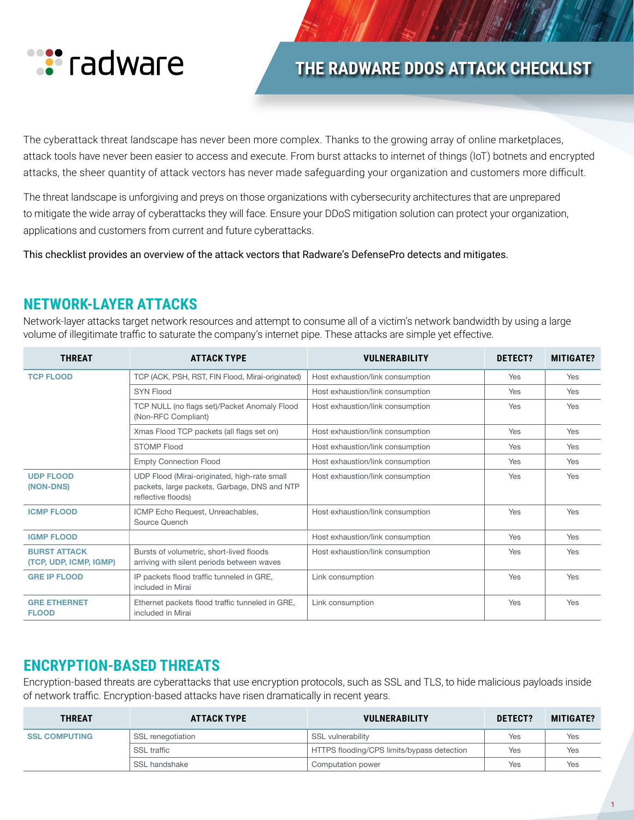

# **THE RADWARE DDOS ATTACK CHECKLIST**

The cyberattack threat landscape has never been more complex. Thanks to the growing array of online marketplaces, attack tools have never been easier to access and execute. From burst attacks to internet of things (IoT) botnets and encrypted attacks, the sheer quantity of attack vectors has never made safeguarding your organization and customers more difficult.

The threat landscape is unforgiving and preys on those organizations with cybersecurity architectures that are unprepared to mitigate the wide array of cyberattacks they will face. Ensure your DDoS mitigation solution can protect your organization, applications and customers from current and future cyberattacks.

This checklist provides an overview of the attack vectors that Radware's DefensePro detects and mitigates.

### **NETWORK-LAYER ATTACKS**

Network-layer attacks target network resources and attempt to consume all of a victim's network bandwidth by using a large volume of illegitimate traffic to saturate the company's internet pipe. These attacks are simple yet effective.

| <b>THREAT</b>                                 | <b>ATTACK TYPE</b>                                                                                                 | <b>VULNERABILITY</b>             | DETECT? | <b>MITIGATE?</b> |
|-----------------------------------------------|--------------------------------------------------------------------------------------------------------------------|----------------------------------|---------|------------------|
| <b>TCP FLOOD</b>                              | TCP (ACK, PSH, RST, FIN Flood, Mirai-originated)                                                                   | Host exhaustion/link consumption | Yes     | Yes              |
|                                               | <b>SYN Flood</b>                                                                                                   | Host exhaustion/link consumption | Yes     | Yes              |
|                                               | TCP NULL (no flags set)/Packet Anomaly Flood<br>(Non-RFC Compliant)                                                | Host exhaustion/link consumption | Yes     | Yes              |
|                                               | Xmas Flood TCP packets (all flags set on)                                                                          | Host exhaustion/link consumption | Yes     | Yes              |
|                                               | <b>STOMP Flood</b>                                                                                                 | Host exhaustion/link consumption | Yes     | Yes              |
|                                               | <b>Empty Connection Flood</b>                                                                                      | Host exhaustion/link consumption | Yes     | Yes              |
| <b>UDP FLOOD</b><br>(NON-DNS)                 | UDP Flood (Mirai-originated, high-rate small<br>packets, large packets, Garbage, DNS and NTP<br>reflective floods) | Host exhaustion/link consumption | Yes     | Yes              |
| <b>ICMP FLOOD</b>                             | ICMP Echo Request, Unreachables,<br>Source Quench                                                                  | Host exhaustion/link consumption | Yes     | Yes              |
| <b>IGMP FLOOD</b>                             |                                                                                                                    | Host exhaustion/link consumption | Yes     | Yes              |
| <b>BURST ATTACK</b><br>(TCP, UDP, ICMP, IGMP) | Bursts of volumetric, short-lived floods<br>arriving with silent periods between waves                             | Host exhaustion/link consumption | Yes     | Yes              |
| <b>GRE IP FLOOD</b>                           | IP packets flood traffic tunneled in GRE,<br>included in Mirai                                                     | Link consumption                 | Yes     | Yes              |
| <b>GRE ETHERNET</b><br><b>FLOOD</b>           | Ethernet packets flood traffic tunneled in GRE,<br>included in Mirai                                               | Link consumption                 | Yes     | Yes              |

## **ENCRYPTION-BASED THREATS**

Encryption-based threats are cyberattacks that use encryption protocols, such as SSL and TLS, to hide malicious payloads inside of network traffic. Encryption-based attacks have risen dramatically in recent years.

| <b>THREAT</b>        | <b>ATTACK TYPE</b> | <b>VULNERABILITY</b>                       | DETECT? | <b>MITIGATE?</b> |
|----------------------|--------------------|--------------------------------------------|---------|------------------|
| <b>SSL COMPUTING</b> | SSL renegotiation  | SSL vulnerability                          | Yes     | Yes              |
|                      | <b>SSL traffic</b> | HTTPS flooding/CPS limits/bypass detection | Yes     | Yes              |
|                      | SSL handshake      | Computation power                          | Yes     | Yes              |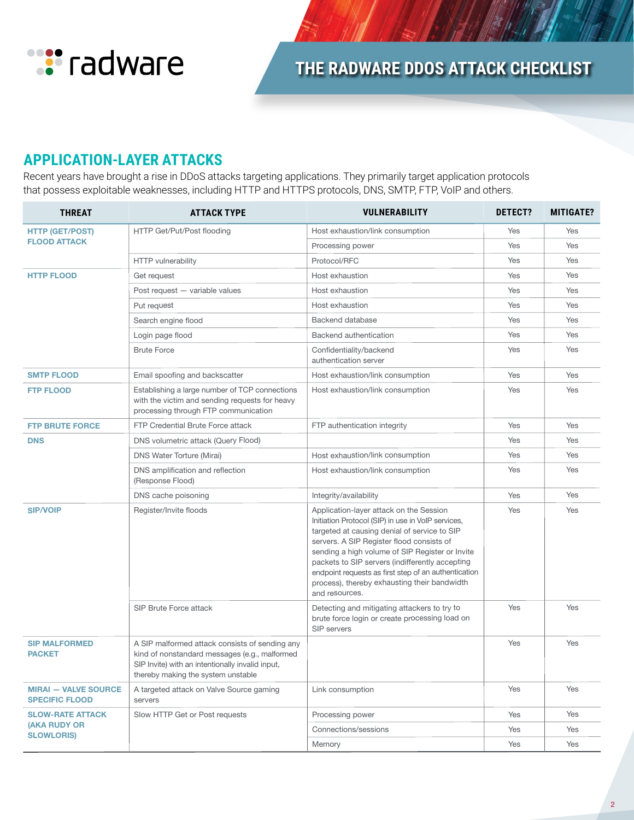

## **APPLICATION-LAYER ATTACKS**

Recent years have brought a rise in DDoS attacks targeting applications. They primarily target application protocols that possess exploitable weaknesses, including HTTP and HTTPS protocols, DNS, SMTP, FTP, VoIP and others.

| <b>THREAT</b>                                        | <b>ATTACK TYPE</b>                                                                                                                                                                        | <b>VULNERABILITY</b>                                                                                                                                                                                                                                                                                                                                                                                                       | DETECT? | <b>MITIGATE?</b> |
|------------------------------------------------------|-------------------------------------------------------------------------------------------------------------------------------------------------------------------------------------------|----------------------------------------------------------------------------------------------------------------------------------------------------------------------------------------------------------------------------------------------------------------------------------------------------------------------------------------------------------------------------------------------------------------------------|---------|------------------|
| <b>HTTP (GET/POST)</b><br><b>FLOOD ATTACK</b>        | HTTP Get/Put/Post flooding                                                                                                                                                                | Host exhaustion/link consumption                                                                                                                                                                                                                                                                                                                                                                                           | Yes     | Yes              |
|                                                      |                                                                                                                                                                                           | Processing power                                                                                                                                                                                                                                                                                                                                                                                                           | Yes     | Yes              |
|                                                      | <b>HTTP</b> vulnerability                                                                                                                                                                 | Protocol/RFC                                                                                                                                                                                                                                                                                                                                                                                                               | Yes     | Yes              |
| <b>HTTP FLOOD</b>                                    | Get request                                                                                                                                                                               | Host exhaustion                                                                                                                                                                                                                                                                                                                                                                                                            | Yes     | Yes              |
|                                                      | Post request - variable values                                                                                                                                                            | Host exhaustion                                                                                                                                                                                                                                                                                                                                                                                                            | Yes     | Yes              |
|                                                      | Put request                                                                                                                                                                               | Host exhaustion                                                                                                                                                                                                                                                                                                                                                                                                            | Yes     | Yes              |
|                                                      | Search engine flood                                                                                                                                                                       | Backend database                                                                                                                                                                                                                                                                                                                                                                                                           | Yes     | Yes              |
|                                                      | Login page flood                                                                                                                                                                          | Backend authentication                                                                                                                                                                                                                                                                                                                                                                                                     | Yes     | Yes              |
|                                                      | <b>Brute Force</b>                                                                                                                                                                        | Confidentiality/backend<br>authentication server                                                                                                                                                                                                                                                                                                                                                                           | Yes     | Yes              |
| <b>SMTP FLOOD</b>                                    | Email spoofing and backscatter                                                                                                                                                            | Host exhaustion/link consumption                                                                                                                                                                                                                                                                                                                                                                                           | Yes     | Yes              |
| <b>FTP FLOOD</b>                                     | Establishing a large number of TCP connections<br>with the victim and sending requests for heavy<br>processing through FTP communication                                                  | Host exhaustion/link consumption                                                                                                                                                                                                                                                                                                                                                                                           | Yes     | Yes              |
| <b>FTP BRUTE FORCE</b>                               | FTP Credential Brute Force attack                                                                                                                                                         | FTP authentication integrity                                                                                                                                                                                                                                                                                                                                                                                               | Yes     | Yes              |
| <b>DNS</b>                                           | DNS volumetric attack (Query Flood)                                                                                                                                                       |                                                                                                                                                                                                                                                                                                                                                                                                                            | Yes     | Yes              |
|                                                      | <b>DNS Water Torture (Mirai)</b>                                                                                                                                                          | Host exhaustion/link consumption                                                                                                                                                                                                                                                                                                                                                                                           | Yes     | Yes              |
|                                                      | DNS amplification and reflection<br>(Response Flood)                                                                                                                                      | Host exhaustion/link consumption                                                                                                                                                                                                                                                                                                                                                                                           | Yes     | Yes              |
|                                                      | DNS cache poisoning                                                                                                                                                                       | Integrity/availability                                                                                                                                                                                                                                                                                                                                                                                                     | Yes     | Yes              |
| <b>SIP/VOIP</b>                                      | Register/Invite floods                                                                                                                                                                    | Application-layer attack on the Session<br>Initiation Protocol (SIP) in use in VoIP services,<br>targeted at causing denial of service to SIP<br>servers. A SIP Register flood consists of<br>sending a high volume of SIP Register or Invite<br>packets to SIP servers (indifferently accepting<br>endpoint requests as first step of an authentication<br>process), thereby exhausting their bandwidth<br>and resources. | Yes     | Yes              |
|                                                      | SIP Brute Force attack                                                                                                                                                                    | Detecting and mitigating attackers to try to<br>brute force login or create processing load on<br>SIP servers                                                                                                                                                                                                                                                                                                              | Yes     | Yes              |
| <b>SIP MALFORMED</b><br><b>PACKET</b>                | A SIP malformed attack consists of sending any<br>kind of nonstandard messages (e.g., malformed<br>SIP Invite) with an intentionally invalid input,<br>thereby making the system unstable |                                                                                                                                                                                                                                                                                                                                                                                                                            | Yes     | Yes              |
| <b>MIRAI - VALVE SOURCE</b><br><b>SPECIFIC FLOOD</b> | A targeted attack on Valve Source gaming<br>servers                                                                                                                                       | Link consumption                                                                                                                                                                                                                                                                                                                                                                                                           | Yes     | Yes              |
| <b>SLOW-RATE ATTACK</b>                              | Slow HTTP Get or Post requests                                                                                                                                                            | Processing power                                                                                                                                                                                                                                                                                                                                                                                                           | Yes     | Yes              |
| <b>(AKA RUDY OR</b><br><b>SLOWLORIS)</b>             |                                                                                                                                                                                           | Connections/sessions                                                                                                                                                                                                                                                                                                                                                                                                       | Yes     | Yes              |
|                                                      |                                                                                                                                                                                           | Memory                                                                                                                                                                                                                                                                                                                                                                                                                     | Yes     | Yes              |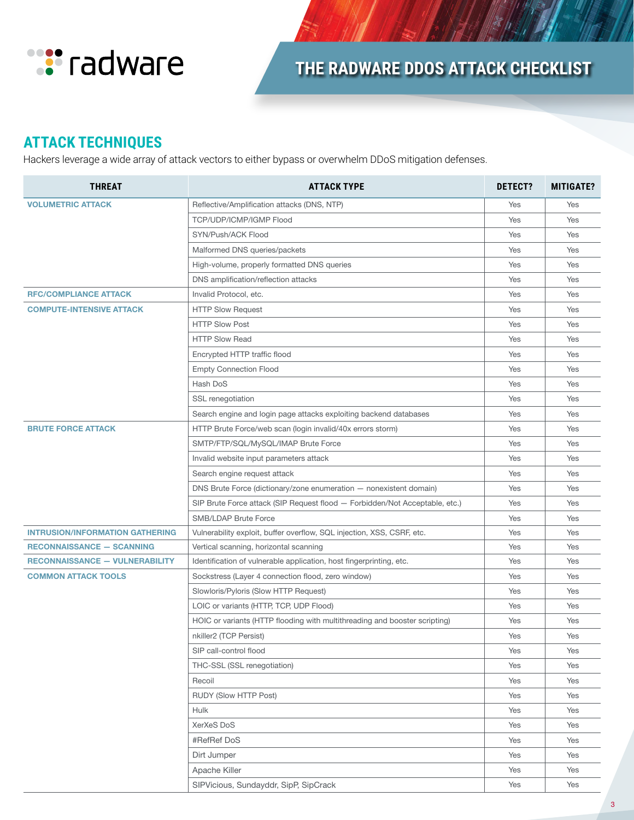

# **THE RADWARE DDOS ATTACK CHECKLIST**

## **ATTACK TECHNIQUES**

Hackers leverage a wide array of attack vectors to either bypass or overwhelm DDoS mitigation defenses.

| <b>THREAT</b>                          | <b>ATTACK TYPE</b>                                                          | <b>DETECT?</b> | <b>MITIGATE?</b> |
|----------------------------------------|-----------------------------------------------------------------------------|----------------|------------------|
| <b>VOLUMETRIC ATTACK</b>               | Reflective/Amplification attacks (DNS, NTP)                                 | Yes            | Yes              |
|                                        | TCP/UDP/ICMP/IGMP Flood                                                     | Yes            | Yes              |
|                                        | SYN/Push/ACK Flood                                                          | Yes            | Yes              |
|                                        | Malformed DNS queries/packets                                               | Yes            | Yes              |
|                                        | High-volume, properly formatted DNS queries                                 | Yes            | Yes              |
|                                        | DNS amplification/reflection attacks                                        | Yes            | Yes              |
| <b>RFC/COMPLIANCE ATTACK</b>           | Invalid Protocol, etc.                                                      | Yes            | Yes              |
| <b>COMPUTE-INTENSIVE ATTACK</b>        | <b>HTTP Slow Request</b>                                                    | Yes            | Yes              |
|                                        | <b>HTTP Slow Post</b>                                                       | Yes            | Yes              |
|                                        | <b>HTTP Slow Read</b>                                                       | Yes            | Yes              |
|                                        | Encrypted HTTP traffic flood                                                | Yes            | Yes              |
|                                        | <b>Empty Connection Flood</b>                                               | Yes            | Yes              |
|                                        | Hash DoS                                                                    | Yes            | Yes              |
|                                        | SSL renegotiation                                                           | Yes            | Yes              |
|                                        | Search engine and login page attacks exploiting backend databases           | Yes            | Yes              |
| <b>BRUTE FORCE ATTACK</b>              | HTTP Brute Force/web scan (login invalid/40x errors storm)                  | Yes            | Yes              |
|                                        | SMTP/FTP/SQL/MySQL/IMAP Brute Force                                         | Yes            | Yes              |
|                                        | Invalid website input parameters attack                                     | Yes            | Yes              |
|                                        | Search engine request attack                                                | Yes            | Yes              |
|                                        | DNS Brute Force (dictionary/zone enumeration - nonexistent domain)          | Yes            | Yes              |
|                                        | SIP Brute Force attack (SIP Request flood - Forbidden/Not Acceptable, etc.) | Yes            | Yes              |
|                                        | SMB/LDAP Brute Force                                                        | Yes            | Yes              |
| <b>INTRUSION/INFORMATION GATHERING</b> | Vulnerability exploit, buffer overflow, SQL injection, XSS, CSRF, etc.      | Yes            | Yes              |
| <b>RECONNAISSANCE - SCANNING</b>       | Vertical scanning, horizontal scanning                                      | Yes            | Yes              |
| <b>RECONNAISSANCE - VULNERABILITY</b>  | Identification of vulnerable application, host fingerprinting, etc.         | Yes            | Yes              |
| <b>COMMON ATTACK TOOLS</b>             | Sockstress (Layer 4 connection flood, zero window)                          | Yes            | Yes              |
|                                        | Slowloris/Pyloris (Slow HTTP Request)                                       | Yes            | Yes              |
|                                        | LOIC or variants (HTTP, TCP, UDP Flood)                                     | Yes            | Yes              |
|                                        | HOIC or variants (HTTP flooding with multithreading and booster scripting)  | Yes            | Yes              |
|                                        | nkiller2 (TCP Persist)                                                      | Yes            | Yes              |
|                                        | SIP call-control flood                                                      | Yes            | Yes              |
|                                        | THC-SSL (SSL renegotiation)                                                 | Yes            | Yes              |
|                                        | Recoil                                                                      | Yes            | Yes              |
|                                        | RUDY (Slow HTTP Post)                                                       | Yes            | Yes              |
|                                        | Hulk                                                                        | Yes            | Yes              |
|                                        | XerXeS DoS                                                                  | Yes            | Yes              |
|                                        | #RefRef DoS                                                                 | Yes            | Yes              |
|                                        | Dirt Jumper                                                                 | Yes            | Yes              |
|                                        | Apache Killer                                                               | Yes            | Yes              |
|                                        | SIPVicious, Sundayddr, SipP, SipCrack                                       | Yes            | Yes              |